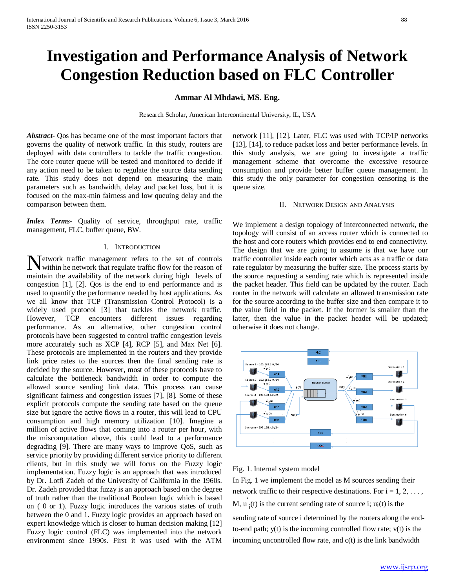# **Investigation and Performance Analysis of Network Congestion Reduction based on FLC Controller**

# **Ammar Al Mhdawi, MS. Eng.**

Research Scholar, American Intercontinental University, IL, USA

*Abstract***-** Qos has became one of the most important factors that governs the quality of network traffic. In this study, routers are deployed with data controllers to tackle the traffic congestion. The core router queue will be tested and monitored to decide if any action need to be taken to regulate the source data sending rate. This study does not depend on measuring the main parameters such as bandwidth, delay and packet loss, but it is focused on the max-min fairness and low queuing delay and the comparison between them.

*Index Terms*- Quality of service, throughput rate, traffic management, FLC, buffer queue, BW.

# I. INTRODUCTION

etwork traffic management refers to the set of controls Network traffic management refers to the set of controls<br>within he network that regulate traffic flow for the reason of maintain the availability of the network during high levels of congestion [1], [2]. Qos is the end to end performance and is used to quantify the performance needed by host applications. As we all know that TCP (Transmission Control Protocol) is a widely used protocol [3] that tackles the network traffic. However, TCP encounters different issues regarding performance. As an alternative, other congestion control protocols have been suggested to control traffic congestion levels more accurately such as XCP [4], RCP [5], and Max Net [6]. These protocols are implemented in the routers and they provide link price rates to the sources then the final sending rate is decided by the source. However, most of these protocols have to calculate the bottleneck bandwidth in order to compute the allowed source sending link data. This process can cause significant fairness and congestion issues [7], [8]. Some of these explicit protocols compute the sending rate based on the queue size but ignore the active flows in a router, this will lead to CPU consumption and high memory utilization [10]. Imagine a million of active flows that coming into a router per hour, with the miscomputation above, this could lead to a performance degrading [9]. There are many ways to improve QoS, such as service priority by providing different service priority to different clients, but in this study we will focus on the Fuzzy logic implementation. Fuzzy logic is an approach that was introduced by Dr. Lotfi Zadeh of the University of California in the 1960s. Dr. Zadeh provided that fuzzy is an approach based on the degree of truth rather than the traditional Boolean logic which is based on ( 0 or 1). Fuzzy logic introduces the various states of truth between the 0 and 1. Fuzzy logic provides an approach based on expert knowledge which is closer to human decision making [12] Fuzzy logic control (FLC) was implemented into the network environment since 1990s. First it was used with the ATM

network [11], [12]. Later, FLC was used with TCP/IP networks [13], [14], to reduce packet loss and better performance levels. In this study analysis, we are going to investigate a traffic management scheme that overcome the excessive resource consumption and provide better buffer queue management. In this study the only parameter for congestion censoring is the queue size.

## II. NETWORK DESIGN AND ANALYSIS

We implement a design topology of interconnected network, the topology will consist of an access router which is connected to the host and core routers which provides end to end connectivity. The design that we are going to assume is that we have our traffic controller inside each router which acts as a traffic or data rate regulator by measuring the buffer size. The process starts by the source requesting a sending rate which is represented inside the packet header. This field can be updated by the router. Each router in the network will calculate an allowed transmission rate for the source according to the buffer size and then compare it to the value field in the packet. If the former is smaller than the latter, then the value in the packet header will be updated; otherwise it does not change.



# Fig. 1. Internal system model

In Fig. 1 we implement the model as M sources sending their network traffic to their respective destinations. For  $i = 1, 2, \ldots$ , M,  $u'_{i}(t)$  is the current sending rate of source i;  $u_{i}(t)$  is the sending rate of source i determined by the routers along the endto-end path;  $y(t)$  is the incoming controlled flow rate;  $v(t)$  is the incoming uncontrolled flow rate, and c(t) is the link bandwidth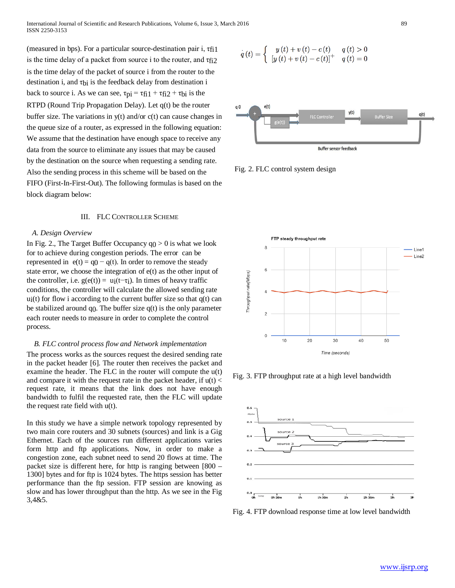(measured in bps). For a particular source-destination pair i,  $\tau_{\text{f}11}$ is the time delay of a packet from source i to the router, and  $\tau_{\text{f12}}$ is the time delay of the packet of source i from the router to the destination i, and  $\tau_{bi}$  is the feedback delay from destination i back to source i. As we can see,  $\tau_{pi} = \tau_{fi1} + \tau_{fi2} + \tau_{bi}$  is the RTPD (Round Trip Propagation Delay). Let q(t) be the router buffer size. The variations in  $y(t)$  and/or  $c(t)$  can cause changes in the queue size of a router, as expressed in the following equation: We assume that the destination have enough space to receive any data from the source to eliminate any issues that may be caused by the destination on the source when requesting a sending rate. Also the sending process in this scheme will be based on the FIFO (First-In-First-Out). The following formulas is based on the block diagram below:

#### III. FLC CONTROLLER SCHEME

# *A. Design Overview*

In Fig. 2., The Target Buffer Occupancy  $q_0 > 0$  is what we look for to achieve during congestion periods. The error can be represented in  $e(t) = q_0 - q(t)$ . In order to remove the steady state error, we choose the integration of e(t) as the other input of the controller, i.e.  $g(e(t)) = u_i(t-\tau_i)$ . In times of heavy traffic conditions, the controller will calculate the allowed sending rate  $u_i(t)$  for flow i according to the current buffer size so that  $q(t)$  can be stabilized around q $\alpha$ . The buffer size  $q(t)$  is the only parameter each router needs to measure in order to complete the control process.

# *B. FLC control process flow and Network implementation*

The process works as the sources request the desired sending rate in the packet header [6]. The router then receives the packet and examine the header. The FLC in the router will compute the u(t) and compare it with the request rate in the packet header, if  $u(t)$  < request rate, it means that the link does not have enough bandwidth to fulfil the requested rate, then the FLC will update the request rate field with u(t).

In this study we have a simple network topology represented by two main core routers and 30 subnets (sources) and link is a Gig Ethernet. Each of the sources run different applications varies form http and ftp applications. Now, in order to make a congestion zone, each subnet need to send 20 flows at time. The packet size is different here, for http is ranging between [800 – 1300] bytes and for ftp is 1024 bytes. The https session has better performance than the ftp session. FTP session are knowing as slow and has lower throughput than the http. As we see in the Fig 3,4&5.

$$
\dot{q}(t) = \begin{cases} y(t) + v(t) - c(t) & q(t) > 0 \\ [y(t) + v(t) - c(t)]^{+} & q(t) = 0 \end{cases}
$$







Fig. 3. FTP throughput rate at a high level bandwidth



Fig. 4. FTP download response time at low level bandwidth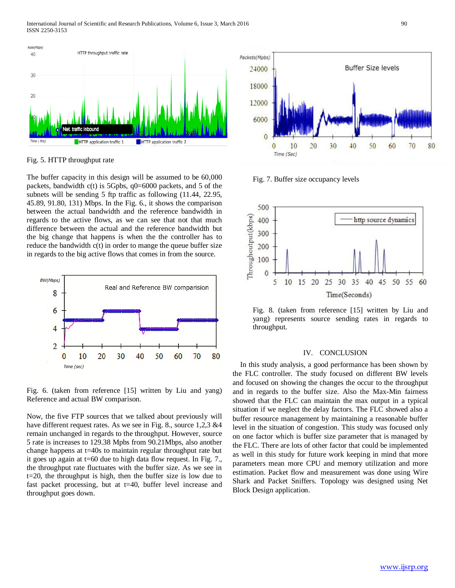

Fig. 5. HTTP throughput rate

The buffer capacity in this design will be assumed to be 60,000 packets, bandwidth  $c(t)$  is 5Gpbs,  $q0=6000$  packets, and 5 of the subnets will be sending 5 ftp traffic as following (11.44, 22.95, 45.89, 91.80, 131) Mbps. In the Fig. 6., it shows the comparison between the actual bandwidth and the reference bandwidth in regards to the active flows, as we can see that not that much difference between the actual and the reference bandwidth but the big change that happens is when the the controller has to reduce the bandwidth c(t) in order to mange the queue buffer size in regards to the big active flows that comes in from the source.



Fig. 6. (taken from reference [15] written by Liu and yang) Reference and actual BW comparison.

Now, the five FTP sources that we talked about previously will have different request rates. As we see in Fig. 8., source 1,2,3 &4 remain unchanged in regards to the throughput. However, source 5 rate is increases to 129.38 Mpbs from 90.21Mbps, also another change happens at t=40s to maintain regular throughput rate but it goes up again at t=60 due to high data flow request. In Fig. 7., the throughput rate fluctuates with the buffer size. As we see in t=20, the throughput is high, then the buffer size is low due to fast packet processing, but at t=40, buffer level increase and throughput goes down.



Fig. 7. Buffer size occupancy levels



Fig. 8. (taken from reference [15] written by Liu and yang) represents source sending rates in regards to throughput.

# IV. CONCLUSION

In this study analysis, a good performance has been shown by the FLC controller. The study focused on different BW levels and focused on showing the changes the occur to the throughput and in regards to the buffer size. Also the Max-Min fairness showed that the FLC can maintain the max output in a typical situation if we neglect the delay factors. The FLC showed also a buffer resource management by maintaining a reasonable buffer level in the situation of congestion. This study was focused only on one factor which is buffer size parameter that is managed by the FLC. There are lots of other factor that could be implemented as well in this study for future work keeping in mind that more parameters mean more CPU and memory utilization and more estimation. Packet flow and measurement was done using Wire Shark and Packet Sniffers. Topology was designed using Net Block Design application.